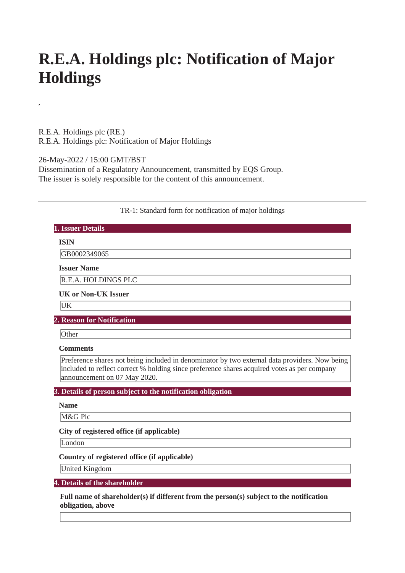# **R.E.A. Holdings plc: Notification of Major Holdings**

R.E.A. Holdings plc (RE.) R.E.A. Holdings plc: Notification of Major Holdings

**,**

26-May-2022 / 15:00 GMT/BST Dissemination of a Regulatory Announcement, transmitted by EQS Group. The issuer is solely responsible for the content of this announcement.

## TR-1: Standard form for notification of major holdings

| 1. Issuer Details                                                                                                                                                                                                            |
|------------------------------------------------------------------------------------------------------------------------------------------------------------------------------------------------------------------------------|
| <b>ISIN</b>                                                                                                                                                                                                                  |
| GB0002349065                                                                                                                                                                                                                 |
| <b>Issuer Name</b>                                                                                                                                                                                                           |
| R.E.A. HOLDINGS PLC                                                                                                                                                                                                          |
| <b>UK or Non-UK Issuer</b>                                                                                                                                                                                                   |
| UK                                                                                                                                                                                                                           |
| <b>2. Reason for Notification</b>                                                                                                                                                                                            |
| Other                                                                                                                                                                                                                        |
| <b>Comments</b>                                                                                                                                                                                                              |
| Preference shares not being included in denominator by two external data providers. Now being<br>included to reflect correct % holding since preference shares acquired votes as per company<br>announcement on 07 May 2020. |
| 3. Details of person subject to the notification obligation                                                                                                                                                                  |
| <b>Name</b>                                                                                                                                                                                                                  |
| M&G Plc                                                                                                                                                                                                                      |
| City of registered office (if applicable)                                                                                                                                                                                    |
| London                                                                                                                                                                                                                       |
| Country of registered office (if applicable)                                                                                                                                                                                 |
| United Kingdom                                                                                                                                                                                                               |
| 4. Details of the shareholder                                                                                                                                                                                                |
| Full name of shareholder(s) if different from the person(s) subject to the notification<br>obligation, above                                                                                                                 |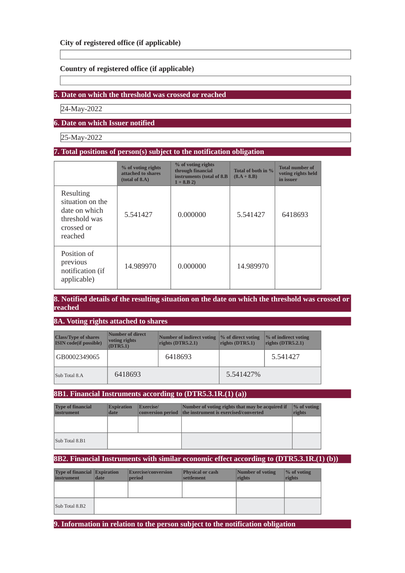# **Country of registered office (if applicable)**

## **5. Date on which the threshold was crossed or reached**

24-May-2022

# **6. Date on which Issuer notified**

25-May-2022

#### **7. Total positions of person(s) subject to the notification obligation**

|                                                                                          | % of voting rights<br>attached to shares<br>(total of 8.A) | % of voting rights<br>through financial<br>instruments (total of 8.B<br>$1 + 8.B 2$ | Total of both in %<br>$(8.A + 8.B)$ | <b>Total number of</b><br>voting rights held<br>in issuer |
|------------------------------------------------------------------------------------------|------------------------------------------------------------|-------------------------------------------------------------------------------------|-------------------------------------|-----------------------------------------------------------|
| Resulting<br>situation on the<br>date on which<br>threshold was<br>crossed or<br>reached | 5.541427                                                   | 0.000000                                                                            | 5.541427                            | 6418693                                                   |
| Position of<br>previous<br>notification (if<br>applicable)                               | 14.989970                                                  | 0.000000                                                                            | 14.989970                           |                                                           |

#### **8. Notified details of the resulting situation on the date on which the threshold was crossed or reached**

**8A. Voting rights attached to shares**

| <b>Class/Type of shares</b><br><b>ISIN</b> code(if possible) | Number of direct<br>voting rights<br>(DTR5.1) | Number of indirect voting<br>rights $(DTR5.2.1)$ | % of direct voting<br>rights (DTR5.1) | % of indirect voting<br>rights $(DTR5.2.1)$ |
|--------------------------------------------------------------|-----------------------------------------------|--------------------------------------------------|---------------------------------------|---------------------------------------------|
| GB0002349065                                                 |                                               | 6418693                                          |                                       | 5.541427                                    |
| Sub Total 8.A                                                | 6418693                                       |                                                  | 5.541427%                             |                                             |

#### **8B1. Financial Instruments according to (DTR5.3.1R.(1) (a))**

| <b>Type of financial</b><br>instrument | <b>Expiration</b><br>date | <b>Exercise</b> | Number of voting rights that may be acquired if<br>conversion period the instrument is exercised/converted | $\frac{1}{2}$ of voting<br>rights |
|----------------------------------------|---------------------------|-----------------|------------------------------------------------------------------------------------------------------------|-----------------------------------|
|                                        |                           |                 |                                                                                                            |                                   |
| Sub Total 8.B1                         |                           |                 |                                                                                                            |                                   |

#### **8B2. Financial Instruments with similar economic effect according to (DTR5.3.1R.(1) (b))**

| <b>Type of financial Expiration</b><br>instrument | date | <b>Exercise/conversion</b><br><b>period</b> | <b>Physical or cash</b><br>settlement | Number of voting<br>rights | $\%$ of voting<br>rights |
|---------------------------------------------------|------|---------------------------------------------|---------------------------------------|----------------------------|--------------------------|
|                                                   |      |                                             |                                       |                            |                          |
| Sub Total 8.B2                                    |      |                                             |                                       |                            |                          |

**9. Information in relation to the person subject to the notification obligation**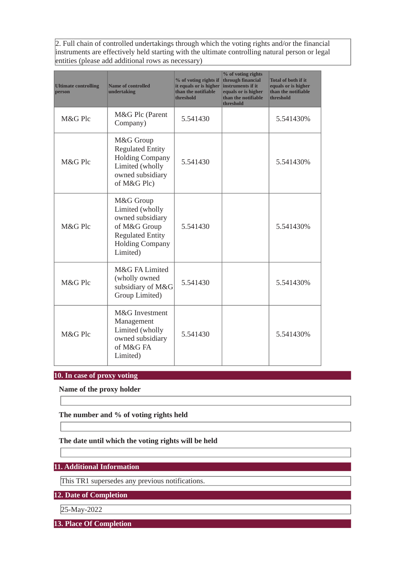2. Full chain of controlled undertakings through which the voting rights and/or the financial instruments are effectively held starting with the ultimate controlling natural person or legal entities (please add additional rows as necessary)

| <b>Ultimate controlling</b><br><b>person</b> | <b>Name of controlled</b><br>undertaking                                                                                          | % of voting rights if<br>it equals or is higher<br>than the notifiable<br>threshold | % of voting rights<br>through financial<br>instruments if it<br>equals or is higher<br>than the notifiable<br>threshold | <b>Total of both if it</b><br>equals or is higher<br>than the notifiable<br>threshold |
|----------------------------------------------|-----------------------------------------------------------------------------------------------------------------------------------|-------------------------------------------------------------------------------------|-------------------------------------------------------------------------------------------------------------------------|---------------------------------------------------------------------------------------|
| M&G Plc                                      | M&G Plc (Parent<br>Company)                                                                                                       | 5.541430                                                                            |                                                                                                                         | 5.541430%                                                                             |
| M&G Plc                                      | M&G Group<br><b>Regulated Entity</b><br><b>Holding Company</b><br>Limited (wholly<br>owned subsidiary<br>of M&G Plc)              | 5.541430                                                                            |                                                                                                                         | 5.541430%                                                                             |
| M&G Plc                                      | M&G Group<br>Limited (wholly<br>owned subsidiary<br>of M&G Group<br><b>Regulated Entity</b><br><b>Holding Company</b><br>Limited) | 5.541430                                                                            |                                                                                                                         | 5.541430%                                                                             |
| M&G Plc                                      | M&G FA Limited<br>(wholly owned<br>subsidiary of M&G<br>Group Limited)                                                            | 5.541430                                                                            |                                                                                                                         | 5.541430%                                                                             |
| M&G Plc                                      | M&G Investment<br>Management<br>Limited (wholly<br>owned subsidiary<br>of M&G FA<br>Limited)                                      | 5.541430                                                                            |                                                                                                                         | 5.541430%                                                                             |

# **10. In case of proxy voting**

**Name of the proxy holder**

**The number and % of voting rights held**

## **The date until which the voting rights will be held**

**11. Additional Information**

This TR1 supersedes any previous notifications.

**12. Date of Completion**

25-May-2022

**13. Place Of Completion**